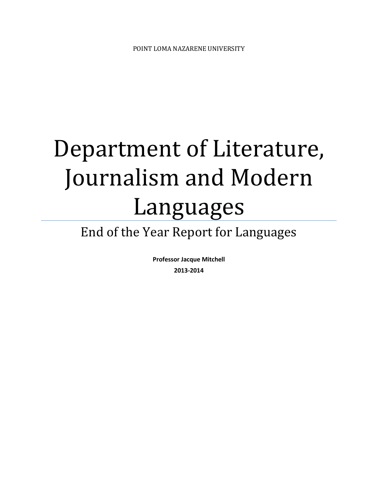# Department of Literature, Journalism and Modern Languages

# End of the Year Report for Languages

**Professor Jacque Mitchell 2013-2014**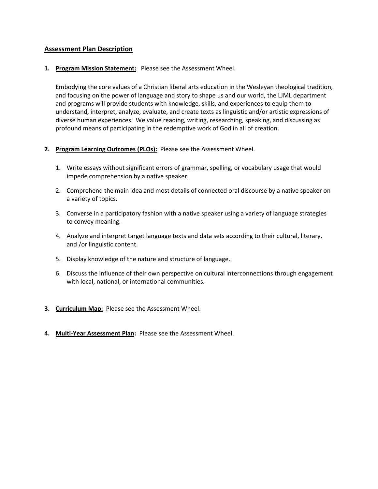#### **Assessment Plan Description**

#### **1. Program Mission Statement:** Please see the Assessment Wheel.

Embodying the core values of a Christian liberal arts education in the Wesleyan theological tradition, and focusing on the power of language and story to shape us and our world, the LJML department and programs will provide students with knowledge, skills, and experiences to equip them to understand, interpret, analyze, evaluate, and create texts as linguistic and/or artistic expressions of diverse human experiences. We value reading, writing, researching, speaking, and discussing as profound means of participating in the redemptive work of God in all of creation.

#### **2. Program Learning Outcomes (PLOs):** Please see the Assessment Wheel.

- 1. Write essays without significant errors of grammar, spelling, or vocabulary usage that would impede comprehension by a native speaker.
- 2. Comprehend the main idea and most details of connected oral discourse by a native speaker on a variety of topics.
- 3. Converse in a participatory fashion with a native speaker using a variety of language strategies to convey meaning.
- 4. Analyze and interpret target language texts and data sets according to their cultural, literary, and /or linguistic content.
- 5. Display knowledge of the nature and structure of language.
- 6. Discuss the influence of their own perspective on cultural interconnections through engagement with local, national, or international communities.
- **3. Curriculum Map:** Please see the Assessment Wheel.
- **4. Multi-Year Assessment Plan:** Please see the Assessment Wheel.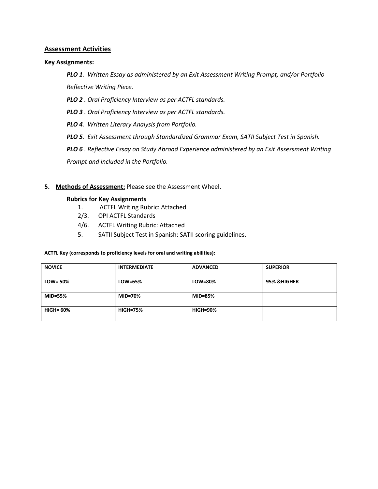#### **Assessment Activities**

#### **Key Assignments:**

*PLO 1. Written Essay as administered by an Exit Assessment Writing Prompt, and/or Portfolio Reflective Writing Piece.*

*PLO 2 . Oral Proficiency Interview as per ACTFL standards.*

*PLO 3 . Oral Proficiency Interview as per ACTFL standards.*

*PLO 4. Written Literary Analysis from Portfolio.*

*PLO 5. Exit Assessment through Standardized Grammar Exam, SATII Subject Test in Spanish.*

*PLO 6 . Reflective Essay on Study Abroad Experience administered by an Exit Assessment Writing Prompt and included in the Portfolio.*

#### **5. Methods of Assessment:** Please see the Assessment Wheel.

#### **Rubrics for Key Assignments**

- 1. ACTFL Writing Rubric: Attached
- 2/3. OPI ACTFL Standards
- 4/6. ACTFL Writing Rubric: Attached
- 5. SATII Subject Test in Spanish: SATII scoring guidelines.

#### **ACTFL Key (corresponds to proficiency levels for oral and writing abilities):**

| <b>NOVICE</b>    | <b>INTERMEDIATE</b> | <b>ADVANCED</b> | <b>SUPERIOR</b>        |
|------------------|---------------------|-----------------|------------------------|
| $LOW = 50\%$     | LOW=65%             | LOW=80%         | <b>95% &amp;HIGHER</b> |
| <b>MID=55%</b>   | <b>MID=70%</b>      | <b>MID=85%</b>  |                        |
| <b>HIGH= 60%</b> | <b>HIGH=75%</b>     | <b>HIGH=90%</b> |                        |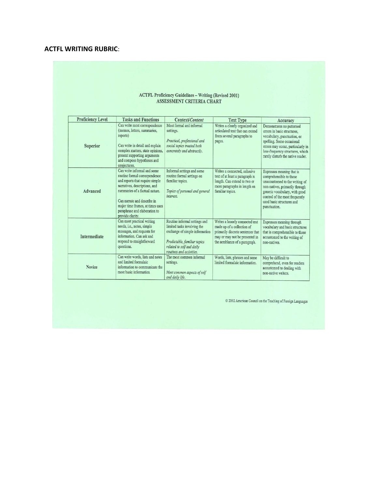### **ACTFL WRITING RUBRIC**:

## $\frac{\mbox{ACTFL Project} \mbox{Guidelines}-\mbox{Writing} \mbox{ (Revised 2001)} }{\mbox{ASSESSMENT CRITERIA CHART}}$

| <b>Proficiency Level</b> | <b>Tasks and Functions</b>                                                                                                                                                                                                                                                                 | Context/Content                                                                                                                                                                         | <b>Text Type</b>                                                                                                                                                      | Accuracy                                                                                                                                                                                                                                 |
|--------------------------|--------------------------------------------------------------------------------------------------------------------------------------------------------------------------------------------------------------------------------------------------------------------------------------------|-----------------------------------------------------------------------------------------------------------------------------------------------------------------------------------------|-----------------------------------------------------------------------------------------------------------------------------------------------------------------------|------------------------------------------------------------------------------------------------------------------------------------------------------------------------------------------------------------------------------------------|
| Superior                 | Can write most correspondence<br>(memos, letters, summaries,<br>reports)<br>Can write in detail and explain<br>complex matters, state opinions,<br>present supporting arguments<br>and compose hypotheses and<br>conjectures.                                                              | Most formal and informal<br>settings.<br>Practical, professional and<br>social topics treated both<br>concretely and abstractly.                                                        | Writes a clearly organized and<br>articulated text that can extend<br>from several paragraphs to<br>pages.                                                            | Demonstrates no patterned<br>errors in basic structures,<br>vocabulary, punctuation, or<br>spelling. Some occasional<br>errors may occur, particularly in<br>low-frequency structures, which<br>rarely disturb the native reader.        |
| Advanced                 | Can write informal and some<br>routine formal correspondence<br>and reports that require simple<br>narratives, descriptions, and<br>summaries of a factual nature.<br>Can narrate and describe in<br>major time frames, at times uses<br>paraphrase and elaboration to<br>provide clarity. | Informal settings and some<br>routine formal settings on<br>familiar topics.<br>Topics of personal and general<br>interest.                                                             | Writes a connected, cohesive<br>text of at least a paragraph in<br>length. Can extend to two or<br>more paragraphs in length on<br>familiar topics.                   | Expresses meaning that is<br>comprehensible to those<br>unaccustomed to the writing of<br>non-natives, primarily through<br>generic vocabulary, with good<br>control of the most frequently<br>used basic structures and<br>punctuation. |
| Intermediate             | Can meet practical writing<br>needs, i.e., notes, simple<br>messages, and requests for<br>information. Can ask and<br>respond to straightforward<br>questions.                                                                                                                             | Routine informal settings and<br>limited tasks involving the<br>exchange of simple information<br>Predictable, familiar topics<br>related to self and daily<br>routines and activities. | Writes a loosely connected text<br>made up of a collection of<br>primarily discrete sentences that<br>may or may not be presented in<br>the semblance of a paragraph. | Expresses meaning through<br>vocabulary and basic structures<br>that is comprehensible to those<br>accustomed to the writing of<br>non-natives.                                                                                          |
| Novice                   | Can write words, lists and notes<br>and limited formulaic<br>information to communicate the<br>most basic information                                                                                                                                                                      | The most common informal<br>settings.<br>Most common aspects of self<br>and daily life.                                                                                                 | Words, lists, phrases and some<br>limited formulaic information.                                                                                                      | May be difficult to<br>comprehend, even for readers<br>accustomed to dealing with<br>non-native writers.                                                                                                                                 |

 $\copyright$  2002 American Council on the Teaching of Foreign Languages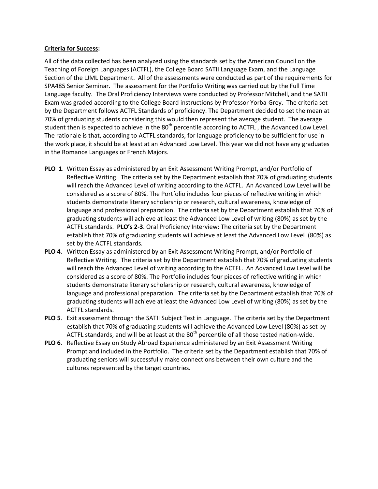#### **Criteria for Success:**

All of the data collected has been analyzed using the standards set by the American Council on the Teaching of Foreign Languages (ACTFL), the College Board SATII Language Exam, and the Language Section of the LJML Department. All of the assessments were conducted as part of the requirements for SPA485 Senior Seminar. The assessment for the Portfolio Writing was carried out by the Full Time Language faculty. The Oral Proficiency Interviews were conducted by Professor Mitchell, and the SATII Exam was graded according to the College Board instructions by Professor Yorba-Grey. The criteria set by the Department follows ACTFL Standards of proficiency. The Department decided to set the mean at 70% of graduating students considering this would then represent the average student. The average student then is expected to achieve in the 80<sup>th</sup> percentile according to ACTFL, the Advanced Low Level. The rationale is that, according to ACTFL standards, for language proficiency to be sufficient for use in the work place, it should be at least at an Advanced Low Level. This year we did not have any graduates in the Romance Languages or French Majors.

- **PLO 1**. Written Essay as administered by an Exit Assessment Writing Prompt, and/or Portfolio of Reflective Writing. The criteria set by the Department establish that 70% of graduating students will reach the Advanced Level of writing according to the ACTFL. An Advanced Low Level will be considered as a score of 80%. The Portfolio includes four pieces of reflective writing in which students demonstrate literary scholarship or research, cultural awareness, knowledge of language and professional preparation. The criteria set by the Department establish that 70% of graduating students will achieve at least the Advanced Low Level of writing (80%) as set by the ACTFL standards. **PLO's 2-3**. Oral Proficiency Interview: The criteria set by the Department establish that 70% of graduating students will achieve at least the Advanced Low Level (80%) as set by the ACTFL standards.
- **PLO 4**. Written Essay as administered by an Exit Assessment Writing Prompt, and/or Portfolio of Reflective Writing. The criteria set by the Department establish that 70% of graduating students will reach the Advanced Level of writing according to the ACTFL. An Advanced Low Level will be considered as a score of 80%. The Portfolio includes four pieces of reflective writing in which students demonstrate literary scholarship or research, cultural awareness, knowledge of language and professional preparation. The criteria set by the Department establish that 70% of graduating students will achieve at least the Advanced Low Level of writing (80%) as set by the ACTFL standards.
- **PLO 5**. Exit assessment through the SATII Subject Test in Language. The criteria set by the Department establish that 70% of graduating students will achieve the Advanced Low Level (80%) as set by ACTFL standards, and will be at least at the  $80<sup>th</sup>$  percentile of all those tested nation-wide.
- **PLO 6**. Reflective Essay on Study Abroad Experience administered by an Exit Assessment Writing Prompt and included in the Portfolio. The criteria set by the Department establish that 70% of graduating seniors will successfully make connections between their own culture and the cultures represented by the target countries.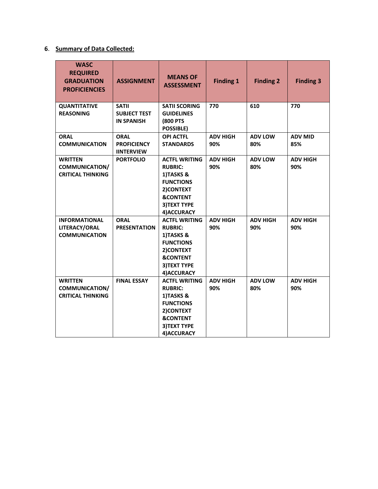## **6**. **Summary of Data Collected:**

| <b>WASC</b><br><b>REQUIRED</b><br><b>GRADUATION</b><br><b>PROFICIENCIES</b> | <b>ASSIGNMENT</b>                                        | <b>MEANS OF</b><br><b>ASSESSMENT</b>                                                                                                               | <b>Finding 1</b>       | <b>Finding 2</b>       | <b>Finding 3</b>       |
|-----------------------------------------------------------------------------|----------------------------------------------------------|----------------------------------------------------------------------------------------------------------------------------------------------------|------------------------|------------------------|------------------------|
| <b>QUANTITATIVE</b><br><b>REASONING</b>                                     | <b>SATII</b><br><b>SUBJECT TEST</b><br><b>IN SPANISH</b> | <b>SATII SCORING</b><br><b>GUIDELINES</b><br><b>(800 PTS</b><br><b>POSSIBLE)</b>                                                                   | 770                    | 610                    | 770                    |
| <b>ORAL</b><br><b>COMMUNICATION</b>                                         | <b>ORAL</b><br><b>PROFICIENCY</b><br><b>IINTERVIEW</b>   | <b>OPI ACTFL</b><br><b>STANDARDS</b>                                                                                                               | <b>ADV HIGH</b><br>90% | <b>ADV LOW</b><br>80%  | <b>ADV MID</b><br>85%  |
| <b>WRITTEN</b><br><b>COMMUNICATION/</b><br><b>CRITICAL THINKING</b>         | <b>PORTFOLIO</b>                                         | <b>ACTFL WRITING</b><br><b>RUBRIC:</b><br>1)TASKS &<br><b>FUNCTIONS</b><br>2) CONTEXT<br><b>&amp;CONTENT</b><br><b>3) TEXT TYPE</b><br>4) ACCURACY | <b>ADV HIGH</b><br>90% | <b>ADV LOW</b><br>80%  | <b>ADV HIGH</b><br>90% |
| <b>INFORMATIONAL</b><br>LITERACY/ORAL<br><b>COMMUNICATION</b>               | <b>ORAL</b><br><b>PRESENTATION</b>                       | <b>ACTFL WRITING</b><br><b>RUBRIC:</b><br>1)TASKS &<br><b>FUNCTIONS</b><br>2) CONTEXT<br><b>&amp;CONTENT</b><br><b>3) TEXT TYPE</b><br>4) ACCURACY | <b>ADV HIGH</b><br>90% | <b>ADV HIGH</b><br>90% | <b>ADV HIGH</b><br>90% |
| <b>WRITTEN</b><br><b>COMMUNICATION/</b><br><b>CRITICAL THINKING</b>         | <b>FINAL ESSAY</b>                                       | <b>ACTFL WRITING</b><br><b>RUBRIC:</b><br>1)TASKS &<br><b>FUNCTIONS</b><br>2) CONTEXT<br><b>&amp;CONTENT</b><br>3) TEXT TYPE<br>4) ACCURACY        | <b>ADV HIGH</b><br>90% | <b>ADV LOW</b><br>80%  | <b>ADV HIGH</b><br>90% |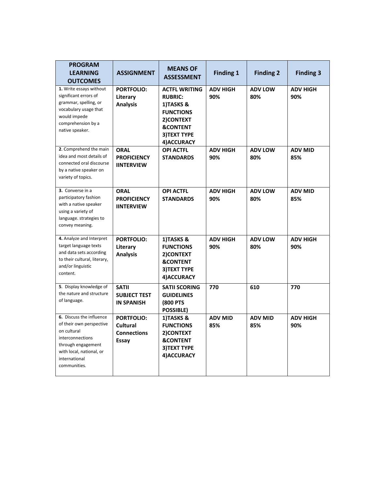| <b>PROGRAM</b><br><b>LEARNING</b><br><b>OUTCOMES</b>                                                                                                                       | <b>ASSIGNMENT</b>                                            | <b>MEANS OF</b><br><b>ASSESSMENT</b>                                                                                                              | <b>Finding 1</b>       | <b>Finding 2</b>      | <b>Finding 3</b>       |
|----------------------------------------------------------------------------------------------------------------------------------------------------------------------------|--------------------------------------------------------------|---------------------------------------------------------------------------------------------------------------------------------------------------|------------------------|-----------------------|------------------------|
| 1. Write essays without<br>significant errors of<br>grammar, spelling, or<br>vocabulary usage that<br>would impede<br>comprehension by a<br>native speaker.                | <b>PORTFOLIO:</b><br>Literary<br><b>Analysis</b>             | <b>ACTFL WRITING</b><br><b>RUBRIC:</b><br>1)TASKS &<br><b>FUNCTIONS</b><br>2) CONTEXT<br><b>&amp;CONTENT</b><br><b>3)TEXT TYPE</b><br>4) ACCURACY | <b>ADV HIGH</b><br>90% | <b>ADV LOW</b><br>80% | <b>ADV HIGH</b><br>90% |
| 2. Comprehend the main<br>idea and most details of<br>connected oral discourse<br>by a native speaker on<br>variety of topics.                                             | <b>ORAL</b><br><b>PROFICIENCY</b><br><b>IINTERVIEW</b>       | <b>OPI ACTFL</b><br><b>STANDARDS</b>                                                                                                              | <b>ADV HIGH</b><br>90% | <b>ADV LOW</b><br>80% | <b>ADV MID</b><br>85%  |
| 3. Converse in a<br>participatory fashion<br>with a native speaker<br>using a variety of<br>language. strategies to<br>convey meaning.                                     | <b>ORAL</b><br><b>PROFICIENCY</b><br><b>IINTERVIEW</b>       | <b>OPI ACTFL</b><br><b>STANDARDS</b>                                                                                                              | <b>ADV HIGH</b><br>90% | <b>ADV LOW</b><br>80% | <b>ADV MID</b><br>85%  |
| 4. Analyze and Interpret<br>target language texts<br>and data sets according<br>to their cultural, literary,<br>and/or linguistic<br>content.                              | <b>PORTFOLIO:</b><br>Literary<br><b>Analysis</b>             | 1)TASKS &<br><b>FUNCTIONS</b><br>2)CONTEXT<br><b>&amp;CONTENT</b><br>3) TEXT TYPE<br>4) ACCURACY                                                  | <b>ADV HIGH</b><br>90% | <b>ADV LOW</b><br>80% | <b>ADV HIGH</b><br>90% |
| 5. Display knowledge of<br>the nature and structure<br>of language.                                                                                                        | <b>SATII</b><br><b>SUBJECT TEST</b><br><b>IN SPANISH</b>     | <b>SATII SCORING</b><br><b>GUIDELINES</b><br><b>(800 PTS)</b><br>POSSIBLE)                                                                        | 770                    | 610                   | 770                    |
| 6. Discuss the influence<br>of their own perspective<br>on cultural<br>interconnections<br>through engagement<br>with local, national, or<br>international<br>communities. | <b>PORTFOLIO:</b><br>Cultural<br><b>Connections</b><br>Essay | 1)TASKS &<br><b>FUNCTIONS</b><br>2) CONTEXT<br><b>&amp;CONTENT</b><br><b>3)TEXT TYPE</b><br>4) ACCURACY                                           | <b>ADV MID</b><br>85%  | <b>ADV MID</b><br>85% | <b>ADV HIGH</b><br>90% |